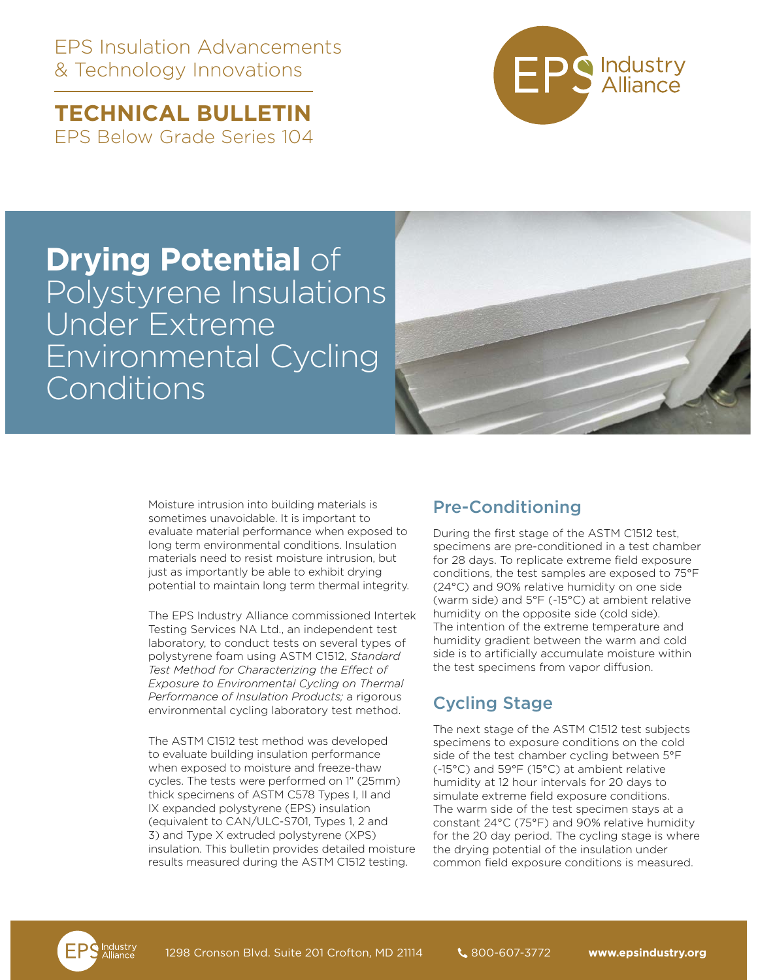EPS Insulation Advancements & Technology Innovations

**TECHNICAL BULLETIN**  EPS Below Grade Series 104



## **Drying Potential** of Polystyrene Insulations Under Extreme Environmental Cycling Conditions

Moisture intrusion into building materials is sometimes unavoidable. It is important to evaluate material performance when exposed to long term environmental conditions. Insulation materials need to resist moisture intrusion, but just as importantly be able to exhibit drying potential to maintain long term thermal integrity.

The EPS Industry Alliance commissioned Intertek Testing Services NA Ltd., an independent test laboratory, to conduct tests on several types of polystyrene foam using ASTM C1512, *Standard Test Method for Characterizing the Effect of Exposure to Environmental Cycling on Thermal Performance of Insulation Products;* a rigorous environmental cycling laboratory test method.

The ASTM C1512 test method was developed to evaluate building insulation performance when exposed to moisture and freeze-thaw cycles. The tests were performed on 1" (25mm) thick specimens of ASTM C578 Types I, II and IX expanded polystyrene (EPS) insulation (equivalent to CAN/ULC-S701, Types 1, 2 and 3) and Type X extruded polystyrene (XPS) insulation. This bulletin provides detailed moisture results measured during the ASTM C1512 testing.

## Pre-Conditioning

During the first stage of the ASTM C1512 test, specimens are pre-conditioned in a test chamber for 28 days. To replicate extreme field exposure conditions, the test samples are exposed to 75°F (24°C) and 90% relative humidity on one side (warm side) and 5°F (-15°C) at ambient relative humidity on the opposite side (cold side). The intention of the extreme temperature and humidity gradient between the warm and cold side is to artificially accumulate moisture within the test specimens from vapor diffusion.

## Cycling Stage

The next stage of the ASTM C1512 test subjects specimens to exposure conditions on the cold side of the test chamber cycling between 5°F (-15°C) and 59°F (15°C) at ambient relative humidity at 12 hour intervals for 20 days to simulate extreme field exposure conditions. The warm side of the test specimen stays at a constant 24°C (75°F) and 90% relative humidity for the 20 day period. The cycling stage is where the drying potential of the insulation under common field exposure conditions is measured.